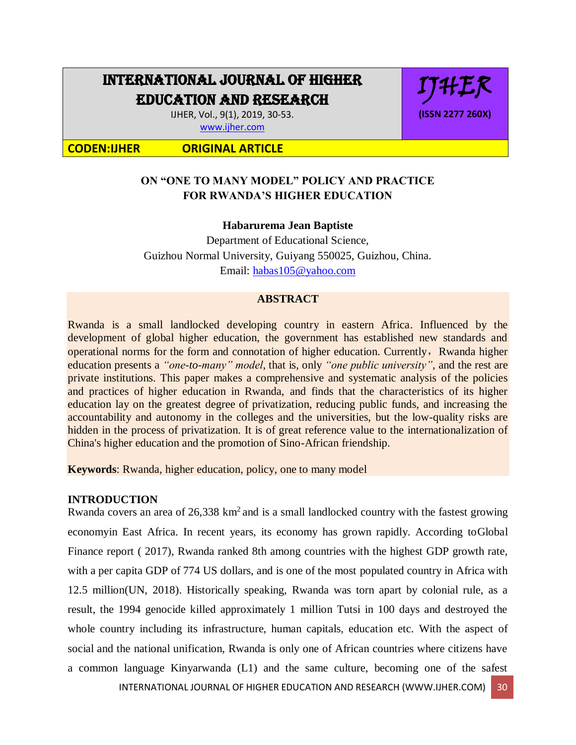# INTERNATIONAL JOURNAL OF HIGHER EDUCATION AND RESEARCH

IJHER, Vol., 9(1), 2019, 30-53. [www.ijher.com](http://www.ijher.com/)

**CODEN:IJHER ORIGINAL ARTICLE**

# **ON "ONE TO MANY MODEL" POLICY AND PRACTICE FOR RWANDA'S HIGHER EDUCATION**

IJHER

**(ISSN 2277 260X)**

# **Habarurema Jean Baptiste**

Department of Educational Science, Guizhou Normal University, Guiyang 550025, Guizhou, China. Email: [habas105@yahoo.com](mailto:habas105@yahoo.com)

## **ABSTRACT**

Rwanda is a small landlocked developing country in eastern Africa. Influenced by the development of global higher education, the government has established new standards and operational norms for the form and connotation of higher education. Currently, Rwanda higher education presents a *"one-to-many" model*, that is, only *"one public university"*, and the rest are private institutions. This paper makes a comprehensive and systematic analysis of the policies and practices of higher education in Rwanda, and finds that the characteristics of its higher education lay on the greatest degree of privatization, reducing public funds, and increasing the accountability and autonomy in the colleges and the universities, but the low-quality risks are hidden in the process of privatization. It is of great reference value to the internationalization of China's higher education and the promotion of Sino-African friendship.

**Keywords**: Rwanda, higher education, policy, one to many model

# **INTRODUCTION**

Rwanda covers an area of  $26,338 \text{ km}^2$  and is a small landlocked country with the fastest growing economyin East Africa. In recent years, its economy has grown rapidly. According toGlobal Finance report ( 2017), Rwanda ranked 8th among countries with the highest GDP growth rate, with a per capita GDP of 774 US dollars, and is one of the most populated country in Africa with 12.5 million(UN, 2018). Historically speaking, Rwanda was torn apart by colonial rule, as a result, the 1994 genocide killed approximately 1 million Tutsi in 100 days and destroyed the whole country including its infrastructure, human capitals, education etc. With the aspect of social and the national unification, Rwanda is only one of African countries where citizens have a common language Kinyarwanda (L1) and the same culture, becoming one of the safest

INTERNATIONAL JOURNAL OF HIGHER EDUCATION AND RESEARCH (WWW.IJHER.COM) 30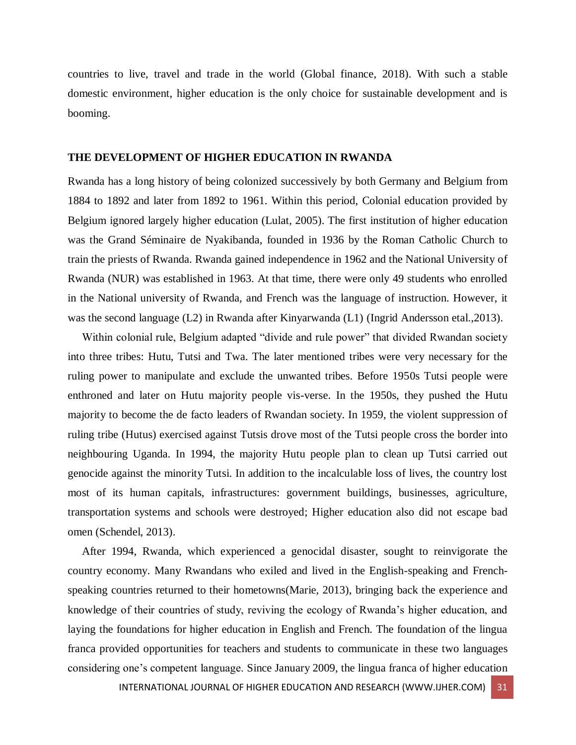countries to live, travel and trade in the world (Global finance, 2018). With such a stable domestic environment, higher education is the only choice for sustainable development and is booming.

#### **THE DEVELOPMENT OF HIGHER EDUCATION IN RWANDA**

Rwanda has a long history of being colonized successively by both Germany and Belgium from 1884 to 1892 and later from 1892 to 1961. Within this period, Colonial education provided by Belgium ignored largely higher education (Lulat, 2005). The first institution of higher education was the Grand Séminaire de Nyakibanda, founded in 1936 by the Roman Catholic Church to train the priests of Rwanda. Rwanda gained independence in 1962 and the National University of Rwanda (NUR) was established in 1963. At that time, there were only 49 students who enrolled in the National university of Rwanda, and French was the language of instruction. However, it was the second language (L2) in Rwanda after Kinyarwanda (L1) (Ingrid Andersson etal.,2013).

 Within colonial rule, Belgium adapted "divide and rule power" that divided Rwandan society into three tribes: Hutu, Tutsi and Twa. The later mentioned tribes were very necessary for the ruling power to manipulate and exclude the unwanted tribes. Before 1950s Tutsi people were enthroned and later on Hutu majority people vis-verse. In the 1950s, they pushed the Hutu majority to become the de facto leaders of Rwandan society. In 1959, the violent suppression of ruling tribe (Hutus) exercised against Tutsis drove most of the Tutsi people cross the border into neighbouring Uganda. In 1994, the majority Hutu people plan to clean up Tutsi carried out genocide against the minority Tutsi. In addition to the incalculable loss of lives, the country lost most of its human capitals, infrastructures: government buildings, businesses, agriculture, transportation systems and schools were destroyed; Higher education also did not escape bad omen (Schendel, 2013).

 After 1994, Rwanda, which experienced a genocidal disaster, sought to reinvigorate the country economy. Many Rwandans who exiled and lived in the English-speaking and Frenchspeaking countries returned to their hometowns(Marie, 2013), bringing back the experience and knowledge of their countries of study, reviving the ecology of Rwanda's higher education, and laying the foundations for higher education in English and French. The foundation of the lingua franca provided opportunities for teachers and students to communicate in these two languages considering one's competent language. Since January 2009, the lingua franca of higher education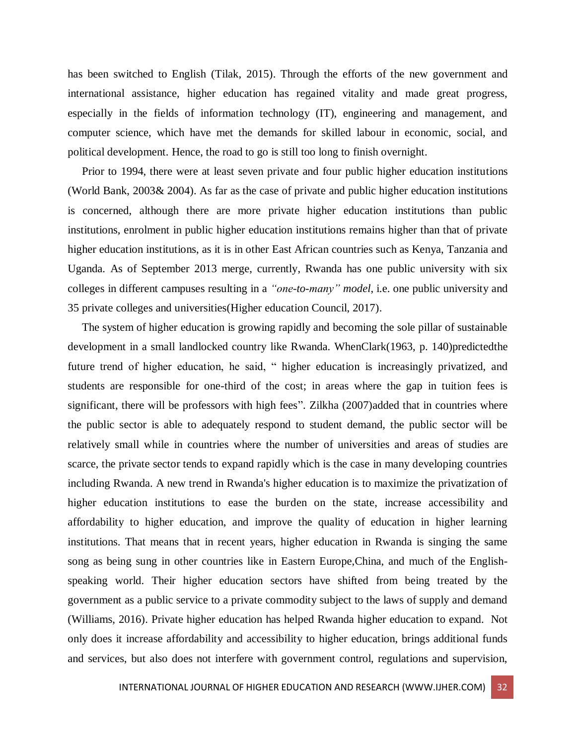has been switched to English (Tilak, 2015). Through the efforts of the new government and international assistance, higher education has regained vitality and made great progress, especially in the fields of information technology (IT), engineering and management, and computer science, which have met the demands for skilled labour in economic, social, and political development. Hence, the road to go is still too long to finish overnight.

 Prior to 1994, there were at least seven private and four public higher education institutions (World Bank, 2003& 2004). As far as the case of private and public higher education institutions is concerned, although there are more private higher education institutions than public institutions, enrolment in public higher education institutions remains higher than that of private higher education institutions, as it is in other East African countries such as Kenya, Tanzania and Uganda. As of September 2013 merge, currently, Rwanda has one public university with six colleges in different campuses resulting in a *"one-to-many" model*, i.e. one public university and 35 private colleges and universities(Higher education Council, 2017).

 The system of higher education is growing rapidly and becoming the sole pillar of sustainable development in a small landlocked country like Rwanda. WhenClark(1963, p. 140)predictedthe future trend of higher education, he said, " higher education is increasingly privatized, and students are responsible for one-third of the cost; in areas where the gap in tuition fees is significant, there will be professors with high fees". Zilkha (2007)added that in countries where the public sector is able to adequately respond to student demand, the public sector will be relatively small while in countries where the number of universities and areas of studies are scarce, the private sector tends to expand rapidly which is the case in many developing countries including Rwanda. A new trend in Rwanda's higher education is to maximize the privatization of higher education institutions to ease the burden on the state, increase accessibility and affordability to higher education, and improve the quality of education in higher learning institutions. That means that in recent years, higher education in Rwanda is singing the same song as being sung in other countries like in Eastern Europe,China, and much of the Englishspeaking world. Their higher education sectors have shifted from being treated by the government as a public service to a private commodity subject to the laws of supply and demand (Williams, 2016). Private higher education has helped Rwanda higher education to expand. Not only does it increase affordability and accessibility to higher education, brings additional funds and services, but also does not interfere with government control, regulations and supervision,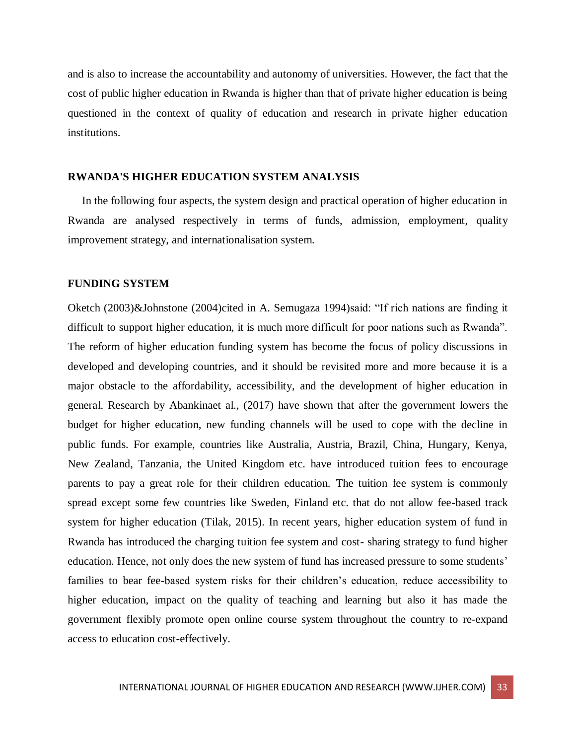and is also to increase the accountability and autonomy of universities. However, the fact that the cost of public higher education in Rwanda is higher than that of private higher education is being questioned in the context of quality of education and research in private higher education institutions.

#### **RWANDA'S HIGHER EDUCATION SYSTEM ANALYSIS**

 In the following four aspects, the system design and practical operation of higher education in Rwanda are analysed respectively in terms of funds, admission, employment, quality improvement strategy, and internationalisation system.

#### **FUNDING SYSTEM**

Oketch (2003)&Johnstone (2004)cited in A. Semugaza 1994)said: "If rich nations are finding it difficult to support higher education, it is much more difficult for poor nations such as Rwanda". The reform of higher education funding system has become the focus of policy discussions in developed and developing countries, and it should be revisited more and more because it is a major obstacle to the affordability, accessibility, and the development of higher education in general. Research by Abankinaet al., (2017) have shown that after the government lowers the budget for higher education, new funding channels will be used to cope with the decline in public funds. For example, countries like Australia, Austria, Brazil, China, Hungary, Kenya, New Zealand, Tanzania, the United Kingdom etc. have introduced tuition fees to encourage parents to pay a great role for their children education. The tuition fee system is commonly spread except some few countries like Sweden, Finland etc. that do not allow fee-based track system for higher education (Tilak, 2015). In recent years, higher education system of fund in Rwanda has introduced the charging tuition fee system and cost- sharing strategy to fund higher education. Hence, not only does the new system of fund has increased pressure to some students' families to bear fee-based system risks for their children's education, reduce accessibility to higher education, impact on the quality of teaching and learning but also it has made the government flexibly promote open online course system throughout the country to re-expand access to education cost-effectively.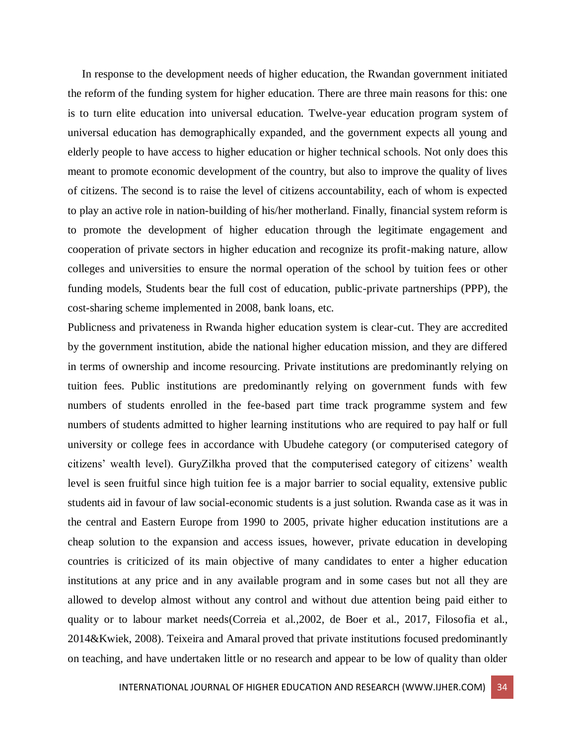In response to the development needs of higher education, the Rwandan government initiated the reform of the funding system for higher education. There are three main reasons for this: one is to turn elite education into universal education. Twelve-year education program system of universal education has demographically expanded, and the government expects all young and elderly people to have access to higher education or higher technical schools. Not only does this meant to promote economic development of the country, but also to improve the quality of lives of citizens. The second is to raise the level of citizens accountability, each of whom is expected to play an active role in nation-building of his/her motherland. Finally, financial system reform is to promote the development of higher education through the legitimate engagement and cooperation of private sectors in higher education and recognize its profit-making nature, allow colleges and universities to ensure the normal operation of the school by tuition fees or other funding models, Students bear the full cost of education, public-private partnerships (PPP), the cost-sharing scheme implemented in 2008, bank loans, etc.

Publicness and privateness in Rwanda higher education system is clear-cut. They are accredited by the government institution, abide the national higher education mission, and they are differed in terms of ownership and income resourcing. Private institutions are predominantly relying on tuition fees. Public institutions are predominantly relying on government funds with few numbers of students enrolled in the fee-based part time track programme system and few numbers of students admitted to higher learning institutions who are required to pay half or full university or college fees in accordance with Ubudehe category (or computerised category of citizens' wealth level). GuryZilkha proved that the computerised category of citizens' wealth level is seen fruitful since high tuition fee is a major barrier to social equality, extensive public students aid in favour of law social-economic students is a just solution. Rwanda case as it was in the central and Eastern Europe from 1990 to 2005, private higher education institutions are a cheap solution to the expansion and access issues, however, private education in developing countries is criticized of its main objective of many candidates to enter a higher education institutions at any price and in any available program and in some cases but not all they are allowed to develop almost without any control and without due attention being paid either to quality or to labour market needs(Correia et al.,2002, de Boer et al., 2017, Filosofia et al., 2014&Kwiek, 2008). Teixeira and Amaral proved that private institutions focused predominantly on teaching, and have undertaken little or no research and appear to be low of quality than older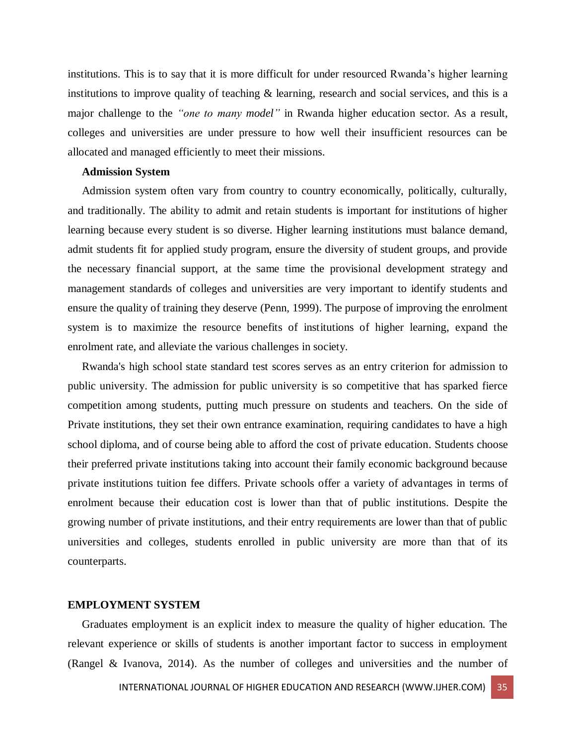institutions. This is to say that it is more difficult for under resourced Rwanda's higher learning institutions to improve quality of teaching & learning, research and social services, and this is a major challenge to the *"one to many model"* in Rwanda higher education sector. As a result, colleges and universities are under pressure to how well their insufficient resources can be allocated and managed efficiently to meet their missions.

## **Admission System**

 Admission system often vary from country to country economically, politically, culturally, and traditionally. The ability to admit and retain students is important for institutions of higher learning because every student is so diverse. Higher learning institutions must balance demand, admit students fit for applied study program, ensure the diversity of student groups, and provide the necessary financial support, at the same time the provisional development strategy and management standards of colleges and universities are very important to identify students and ensure the quality of training they deserve (Penn, 1999). The purpose of improving the enrolment system is to maximize the resource benefits of institutions of higher learning, expand the enrolment rate, and alleviate the various challenges in society.

 Rwanda's high school state standard test scores serves as an entry criterion for admission to public university. The admission for public university is so competitive that has sparked fierce competition among students, putting much pressure on students and teachers. On the side of Private institutions, they set their own entrance examination, requiring candidates to have a high school diploma, and of course being able to afford the cost of private education. Students choose their preferred private institutions taking into account their family economic background because private institutions tuition fee differs. Private schools offer a variety of advantages in terms of enrolment because their education cost is lower than that of public institutions. Despite the growing number of private institutions, and their entry requirements are lower than that of public universities and colleges, students enrolled in public university are more than that of its counterparts.

#### **EMPLOYMENT SYSTEM**

 Graduates employment is an explicit index to measure the quality of higher education. The relevant experience or skills of students is another important factor to success in employment (Rangel & Ivanova, 2014). As the number of colleges and universities and the number of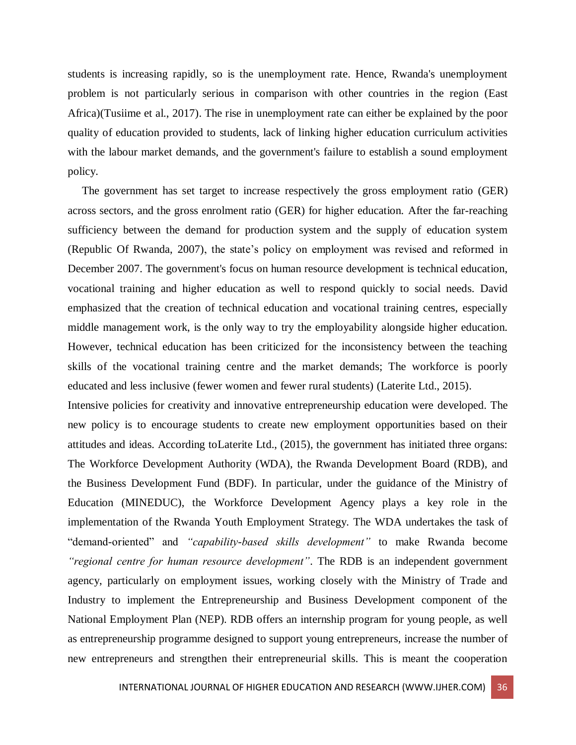students is increasing rapidly, so is the unemployment rate. Hence, Rwanda's unemployment problem is not particularly serious in comparison with other countries in the region (East Africa)(Tusiime et al., 2017). The rise in unemployment rate can either be explained by the poor quality of education provided to students, lack of linking higher education curriculum activities with the labour market demands, and the government's failure to establish a sound employment policy.

 The government has set target to increase respectively the gross employment ratio (GER) across sectors, and the gross enrolment ratio (GER) for higher education. After the far-reaching sufficiency between the demand for production system and the supply of education system (Republic Of Rwanda, 2007), the state's policy on employment was revised and reformed in December 2007. The government's focus on human resource development is technical education, vocational training and higher education as well to respond quickly to social needs. David emphasized that the creation of technical education and vocational training centres, especially middle management work, is the only way to try the employability alongside higher education. However, technical education has been criticized for the inconsistency between the teaching skills of the vocational training centre and the market demands; The workforce is poorly educated and less inclusive (fewer women and fewer rural students) (Laterite Ltd., 2015).

Intensive policies for creativity and innovative entrepreneurship education were developed. The new policy is to encourage students to create new employment opportunities based on their attitudes and ideas. According toLaterite Ltd., (2015), the government has initiated three organs: The Workforce Development Authority (WDA), the Rwanda Development Board (RDB), and the Business Development Fund (BDF). In particular, under the guidance of the Ministry of Education (MINEDUC), the Workforce Development Agency plays a key role in the implementation of the Rwanda Youth Employment Strategy. The WDA undertakes the task of "demand-oriented" and *"capability-based skills development"* to make Rwanda become *"regional centre for human resource development"*. The RDB is an independent government agency, particularly on employment issues, working closely with the Ministry of Trade and Industry to implement the Entrepreneurship and Business Development component of the National Employment Plan (NEP). RDB offers an internship program for young people, as well as entrepreneurship programme designed to support young entrepreneurs, increase the number of new entrepreneurs and strengthen their entrepreneurial skills. This is meant the cooperation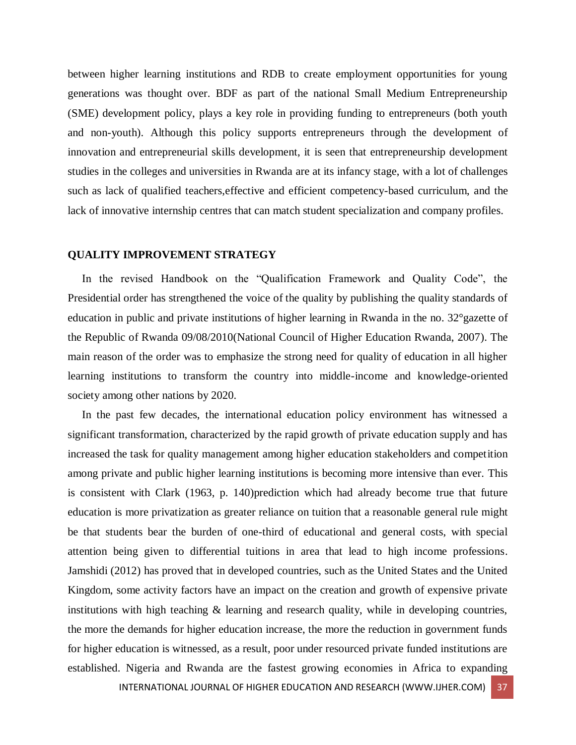between higher learning institutions and RDB to create employment opportunities for young generations was thought over. BDF as part of the national Small Medium Entrepreneurship (SME) development policy, plays a key role in providing funding to entrepreneurs (both youth and non-youth). Although this policy supports entrepreneurs through the development of innovation and entrepreneurial skills development, it is seen that entrepreneurship development studies in the colleges and universities in Rwanda are at its infancy stage, with a lot of challenges such as lack of qualified teachers, effective and efficient competency-based curriculum, and the lack of innovative internship centres that can match student specialization and company profiles.

#### **QUALITY IMPROVEMENT STRATEGY**

 In the revised Handbook on the "Qualification Framework and Quality Code", the Presidential order has strengthened the voice of the quality by publishing the quality standards of education in public and private institutions of higher learning in Rwanda in the no. 32°gazette of the Republic of Rwanda 09/08/2010(National Council of Higher Education Rwanda, 2007). The main reason of the order was to emphasize the strong need for quality of education in all higher learning institutions to transform the country into middle-income and knowledge-oriented society among other nations by 2020.

 In the past few decades, the international education policy environment has witnessed a significant transformation, characterized by the rapid growth of private education supply and has increased the task for quality management among higher education stakeholders and competition among private and public higher learning institutions is becoming more intensive than ever. This is consistent with Clark (1963, p. 140)prediction which had already become true that future education is more privatization as greater reliance on tuition that a reasonable general rule might be that students bear the burden of one-third of educational and general costs, with special attention being given to differential tuitions in area that lead to high income professions. Jamshidi (2012) has proved that in developed countries, such as the United States and the United Kingdom, some activity factors have an impact on the creation and growth of expensive private institutions with high teaching & learning and research quality, while in developing countries, the more the demands for higher education increase, the more the reduction in government funds for higher education is witnessed, as a result, poor under resourced private funded institutions are established. Nigeria and Rwanda are the fastest growing economies in Africa to expanding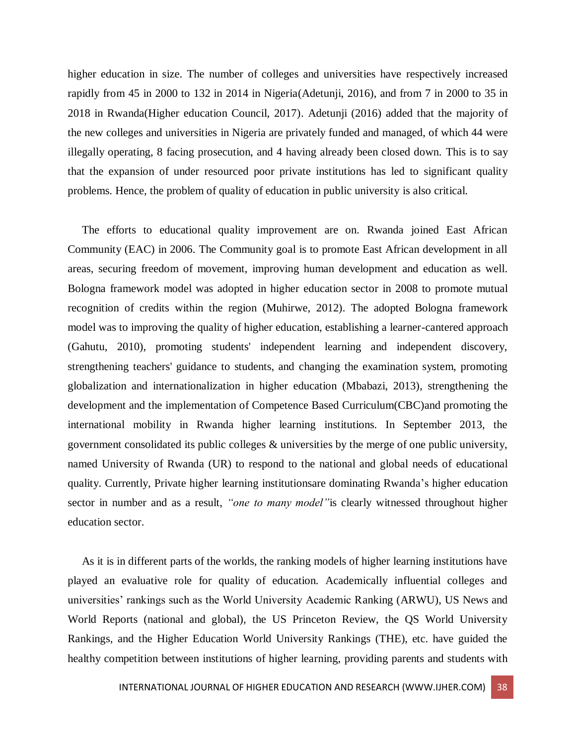higher education in size. The number of colleges and universities have respectively increased rapidly from 45 in 2000 to 132 in 2014 in Nigeria(Adetunji, 2016), and from 7 in 2000 to 35 in 2018 in Rwanda(Higher education Council, 2017). Adetunji (2016) added that the majority of the new colleges and universities in Nigeria are privately funded and managed, of which 44 were illegally operating, 8 facing prosecution, and 4 having already been closed down. This is to say that the expansion of under resourced poor private institutions has led to significant quality problems. Hence, the problem of quality of education in public university is also critical.

 The efforts to educational quality improvement are on. Rwanda joined East African Community (EAC) in 2006. The Community goal is to promote East African development in all areas, securing freedom of movement, improving human development and education as well. Bologna framework model was adopted in higher education sector in 2008 to promote mutual recognition of credits within the region (Muhirwe, 2012). The adopted Bologna framework model was to improving the quality of higher education, establishing a learner-cantered approach (Gahutu, 2010), promoting students' independent learning and independent discovery, strengthening teachers' guidance to students, and changing the examination system, promoting globalization and internationalization in higher education (Mbabazi, 2013), strengthening the development and the implementation of Competence Based Curriculum(CBC)and promoting the international mobility in Rwanda higher learning institutions. In September 2013, the government consolidated its public colleges & universities by the merge of one public university, named University of Rwanda (UR) to respond to the national and global needs of educational quality. Currently, Private higher learning institutionsare dominating Rwanda's higher education sector in number and as a result, *"one to many model"*is clearly witnessed throughout higher education sector.

 As it is in different parts of the worlds, the ranking models of higher learning institutions have played an evaluative role for quality of education. Academically influential colleges and universities' rankings such as the World University Academic Ranking (ARWU), US News and World Reports (national and global), the US Princeton Review, the QS World University Rankings, and the Higher Education World University Rankings (THE), etc. have guided the healthy competition between institutions of higher learning, providing parents and students with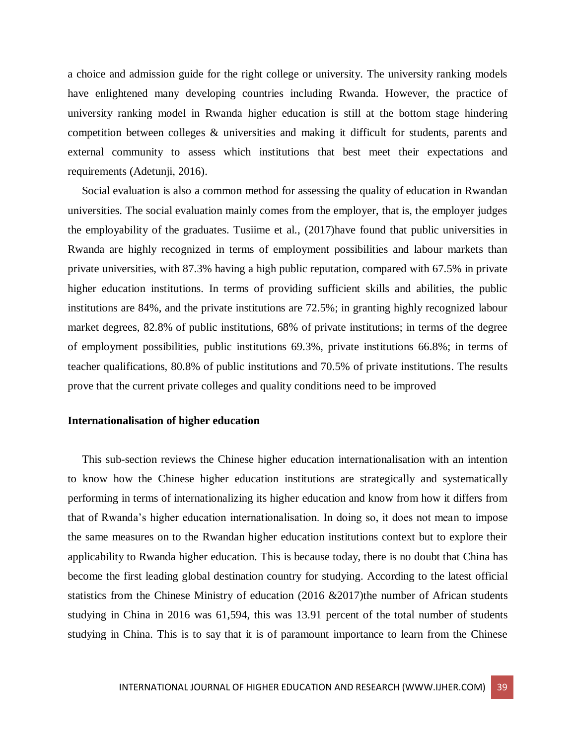a choice and admission guide for the right college or university. The university ranking models have enlightened many developing countries including Rwanda. However, the practice of university ranking model in Rwanda higher education is still at the bottom stage hindering competition between colleges & universities and making it difficult for students, parents and external community to assess which institutions that best meet their expectations and requirements (Adetunji, 2016).

 Social evaluation is also a common method for assessing the quality of education in Rwandan universities. The social evaluation mainly comes from the employer, that is, the employer judges the employability of the graduates. Tusiime et al., (2017)have found that public universities in Rwanda are highly recognized in terms of employment possibilities and labour markets than private universities, with 87.3% having a high public reputation, compared with 67.5% in private higher education institutions. In terms of providing sufficient skills and abilities, the public institutions are 84%, and the private institutions are 72.5%; in granting highly recognized labour market degrees, 82.8% of public institutions, 68% of private institutions; in terms of the degree of employment possibilities, public institutions 69.3%, private institutions 66.8%; in terms of teacher qualifications, 80.8% of public institutions and 70.5% of private institutions. The results prove that the current private colleges and quality conditions need to be improved

#### **Internationalisation of higher education**

 This sub-section reviews the Chinese higher education internationalisation with an intention to know how the Chinese higher education institutions are strategically and systematically performing in terms of internationalizing its higher education and know from how it differs from that of Rwanda's higher education internationalisation. In doing so, it does not mean to impose the same measures on to the Rwandan higher education institutions context but to explore their applicability to Rwanda higher education. This is because today, there is no doubt that China has become the first leading global destination country for studying. According to the latest official statistics from the Chinese Ministry of education (2016 &2017)the number of African students studying in China in 2016 was 61,594, this was 13.91 percent of the total number of students studying in China. This is to say that it is of paramount importance to learn from the Chinese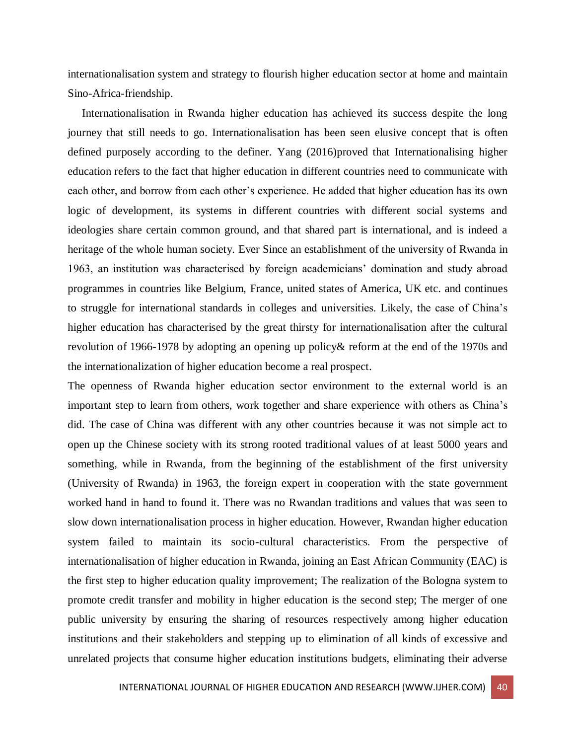internationalisation system and strategy to flourish higher education sector at home and maintain Sino-Africa-friendship.

 Internationalisation in Rwanda higher education has achieved its success despite the long journey that still needs to go. Internationalisation has been seen elusive concept that is often defined purposely according to the definer. Yang (2016)proved that Internationalising higher education refers to the fact that higher education in different countries need to communicate with each other, and borrow from each other's experience. He added that higher education has its own logic of development, its systems in different countries with different social systems and ideologies share certain common ground, and that shared part is international, and is indeed a heritage of the whole human society. Ever Since an establishment of the university of Rwanda in 1963, an institution was characterised by foreign academicians' domination and study abroad programmes in countries like Belgium, France, united states of America, UK etc. and continues to struggle for international standards in colleges and universities. Likely, the case of China's higher education has characterised by the great thirsty for internationalisation after the cultural revolution of 1966-1978 by adopting an opening up policy& reform at the end of the 1970s and the internationalization of higher education become a real prospect.

The openness of Rwanda higher education sector environment to the external world is an important step to learn from others, work together and share experience with others as China's did. The case of China was different with any other countries because it was not simple act to open up the Chinese society with its strong rooted traditional values of at least 5000 years and something, while in Rwanda, from the beginning of the establishment of the first university (University of Rwanda) in 1963, the foreign expert in cooperation with the state government worked hand in hand to found it. There was no Rwandan traditions and values that was seen to slow down internationalisation process in higher education. However, Rwandan higher education system failed to maintain its socio-cultural characteristics. From the perspective of internationalisation of higher education in Rwanda, joining an East African Community (EAC) is the first step to higher education quality improvement; The realization of the Bologna system to promote credit transfer and mobility in higher education is the second step; The merger of one public university by ensuring the sharing of resources respectively among higher education institutions and their stakeholders and stepping up to elimination of all kinds of excessive and unrelated projects that consume higher education institutions budgets, eliminating their adverse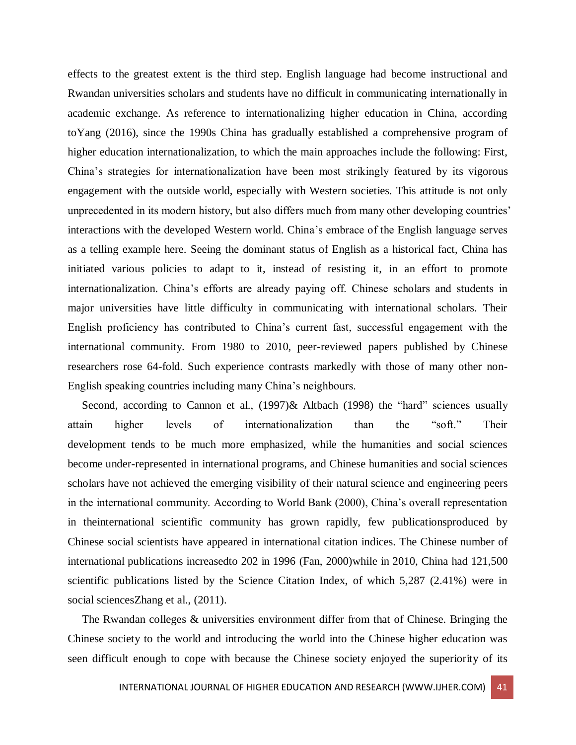effects to the greatest extent is the third step. English language had become instructional and Rwandan universities scholars and students have no difficult in communicating internationally in academic exchange. As reference to internationalizing higher education in China, according toYang (2016), since the 1990s China has gradually established a comprehensive program of higher education internationalization, to which the main approaches include the following: First, China's strategies for internationalization have been most strikingly featured by its vigorous engagement with the outside world, especially with Western societies. This attitude is not only unprecedented in its modern history, but also differs much from many other developing countries' interactions with the developed Western world. China's embrace of the English language serves as a telling example here. Seeing the dominant status of English as a historical fact, China has initiated various policies to adapt to it, instead of resisting it, in an effort to promote internationalization. China's efforts are already paying off. Chinese scholars and students in major universities have little difficulty in communicating with international scholars. Their English proficiency has contributed to China's current fast, successful engagement with the international community. From 1980 to 2010, peer-reviewed papers published by Chinese researchers rose 64-fold. Such experience contrasts markedly with those of many other non-English speaking countries including many China's neighbours.

Second, according to Cannon et al., (1997)& Altbach (1998) the "hard" sciences usually attain higher levels of internationalization than the "soft." Their development tends to be much more emphasized, while the humanities and social sciences become under-represented in international programs, and Chinese humanities and social sciences scholars have not achieved the emerging visibility of their natural science and engineering peers in the international community. According to World Bank (2000), China's overall representation in theinternational scientific community has grown rapidly, few publicationsproduced by Chinese social scientists have appeared in international citation indices. The Chinese number of international publications increasedto 202 in 1996 (Fan, 2000)while in 2010, China had 121,500 scientific publications listed by the Science Citation Index, of which 5,287 (2.41%) were in social sciencesZhang et al.,  $(2011)$ .

 The Rwandan colleges & universities environment differ from that of Chinese. Bringing the Chinese society to the world and introducing the world into the Chinese higher education was seen difficult enough to cope with because the Chinese society enjoyed the superiority of its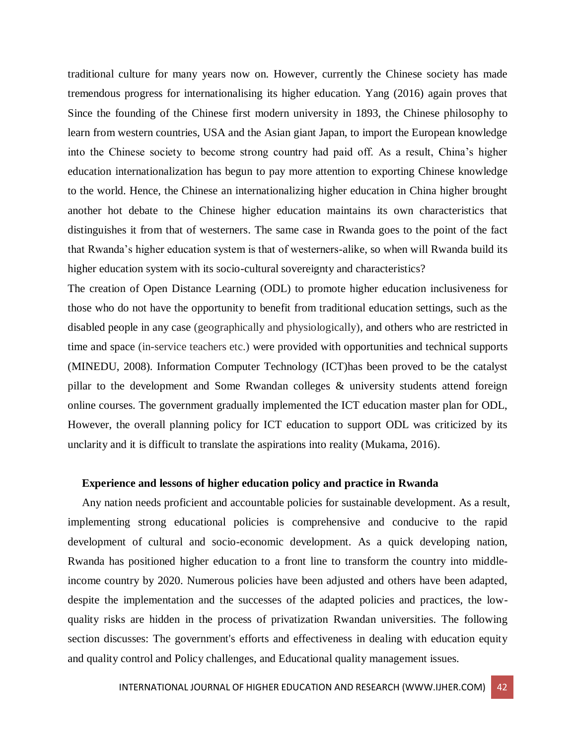traditional culture for many years now on. However, currently the Chinese society has made tremendous progress for internationalising its higher education. Yang (2016) again proves that Since the founding of the Chinese first modern university in 1893, the Chinese philosophy to learn from western countries, USA and the Asian giant Japan, to import the European knowledge into the Chinese society to become strong country had paid off. As a result, China's higher education internationalization has begun to pay more attention to exporting Chinese knowledge to the world. Hence, the Chinese an internationalizing higher education in China higher brought another hot debate to the Chinese higher education maintains its own characteristics that distinguishes it from that of westerners. The same case in Rwanda goes to the point of the fact that Rwanda's higher education system is that of westerners-alike, so when will Rwanda build its higher education system with its socio-cultural sovereignty and characteristics?

The creation of Open Distance Learning (ODL) to promote higher education inclusiveness for those who do not have the opportunity to benefit from traditional education settings, such as the disabled people in any case (geographically and physiologically), and others who are restricted in time and space (in-service teachers etc.) were provided with opportunities and technical supports (MINEDU, 2008). Information Computer Technology (ICT)has been proved to be the catalyst pillar to the development and Some Rwandan colleges & university students attend foreign online courses. The government gradually implemented the ICT education master plan for ODL, However, the overall planning policy for ICT education to support ODL was criticized by its unclarity and it is difficult to translate the aspirations into reality (Mukama, 2016).

#### **Experience and lessons of higher education policy and practice in Rwanda**

 Any nation needs proficient and accountable policies for sustainable development. As a result, implementing strong educational policies is comprehensive and conducive to the rapid development of cultural and socio-economic development. As a quick developing nation, Rwanda has positioned higher education to a front line to transform the country into middleincome country by 2020. Numerous policies have been adjusted and others have been adapted, despite the implementation and the successes of the adapted policies and practices, the lowquality risks are hidden in the process of privatization Rwandan universities. The following section discusses: The government's efforts and effectiveness in dealing with education equity and quality control and Policy challenges, and Educational quality management issues.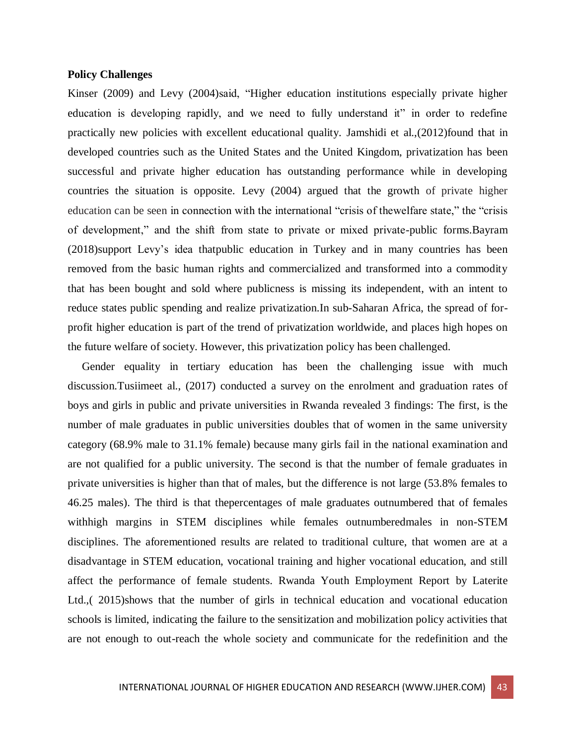#### **Policy Challenges**

Kinser (2009) and Levy (2004)said, "Higher education institutions especially private higher education is developing rapidly, and we need to fully understand it" in order to redefine practically new policies with excellent educational quality. Jamshidi et al.,(2012)found that in developed countries such as the United States and the United Kingdom, privatization has been successful and private higher education has outstanding performance while in developing countries the situation is opposite. Levy (2004) argued that the growth of private higher education can be seen in connection with the international "crisis of thewelfare state," the "crisis of development," and the shift from state to private or mixed private-public forms.Bayram (2018)support Levy's idea thatpublic education in Turkey and in many countries has been removed from the basic human rights and commercialized and transformed into a commodity that has been bought and sold where publicness is missing its independent, with an intent to reduce states public spending and realize privatization.In sub-Saharan Africa, the spread of forprofit higher education is part of the trend of privatization worldwide, and places high hopes on the future welfare of society. However, this privatization policy has been challenged.

 Gender equality in tertiary education has been the challenging issue with much discussion.Tusiimeet al., (2017) conducted a survey on the enrolment and graduation rates of boys and girls in public and private universities in Rwanda revealed 3 findings: The first, is the number of male graduates in public universities doubles that of women in the same university category (68.9% male to 31.1% female) because many girls fail in the national examination and are not qualified for a public university. The second is that the number of female graduates in private universities is higher than that of males, but the difference is not large (53.8% females to 46.25 males). The third is that thepercentages of male graduates outnumbered that of females withhigh margins in STEM disciplines while females outnumberedmales in non-STEM disciplines. The aforementioned results are related to traditional culture, that women are at a disadvantage in STEM education, vocational training and higher vocational education, and still affect the performance of female students. Rwanda Youth Employment Report by Laterite Ltd.,( 2015)shows that the number of girls in technical education and vocational education schools is limited, indicating the failure to the sensitization and mobilization policy activities that are not enough to out-reach the whole society and communicate for the redefinition and the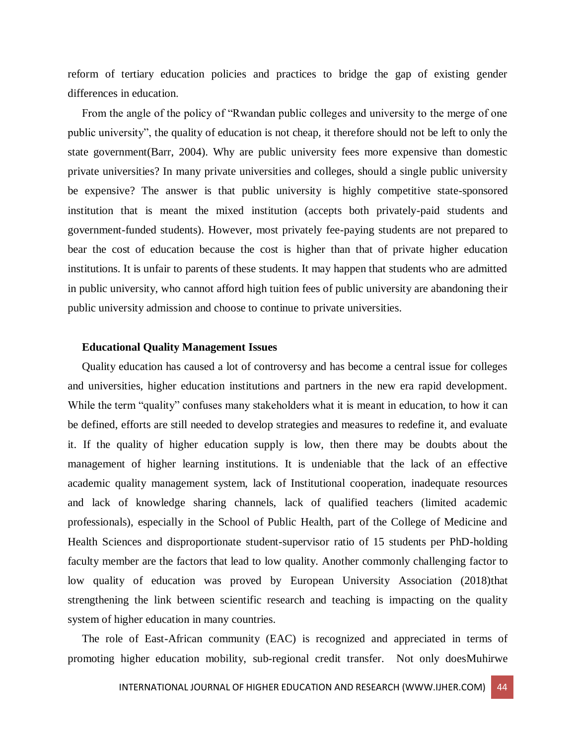reform of tertiary education policies and practices to bridge the gap of existing gender differences in education.

 From the angle of the policy of "Rwandan public colleges and university to the merge of one public university", the quality of education is not cheap, it therefore should not be left to only the state government(Barr, 2004). Why are public university fees more expensive than domestic private universities? In many private universities and colleges, should a single public university be expensive? The answer is that public university is highly competitive state-sponsored institution that is meant the mixed institution (accepts both privately-paid students and government-funded students). However, most privately fee-paying students are not prepared to bear the cost of education because the cost is higher than that of private higher education institutions. It is unfair to parents of these students. It may happen that students who are admitted in public university, who cannot afford high tuition fees of public university are abandoning their public university admission and choose to continue to private universities.

#### **Educational Quality Management Issues**

 Quality education has caused a lot of controversy and has become a central issue for colleges and universities, higher education institutions and partners in the new era rapid development. While the term "quality" confuses many stakeholders what it is meant in education, to how it can be defined, efforts are still needed to develop strategies and measures to redefine it, and evaluate it. If the quality of higher education supply is low, then there may be doubts about the management of higher learning institutions. It is undeniable that the lack of an effective academic quality management system, lack of Institutional cooperation, inadequate resources and lack of knowledge sharing channels, lack of qualified teachers (limited academic professionals), especially in the School of Public Health, part of the College of Medicine and Health Sciences and disproportionate student-supervisor ratio of 15 students per PhD-holding faculty member are the factors that lead to low quality. Another commonly challenging factor to low quality of education was proved by European University Association (2018)that strengthening the link between scientific research and teaching is impacting on the quality system of higher education in many countries.

 The role of East-African community (EAC) is recognized and appreciated in terms of promoting higher education mobility, sub-regional credit transfer. Not only doesMuhirwe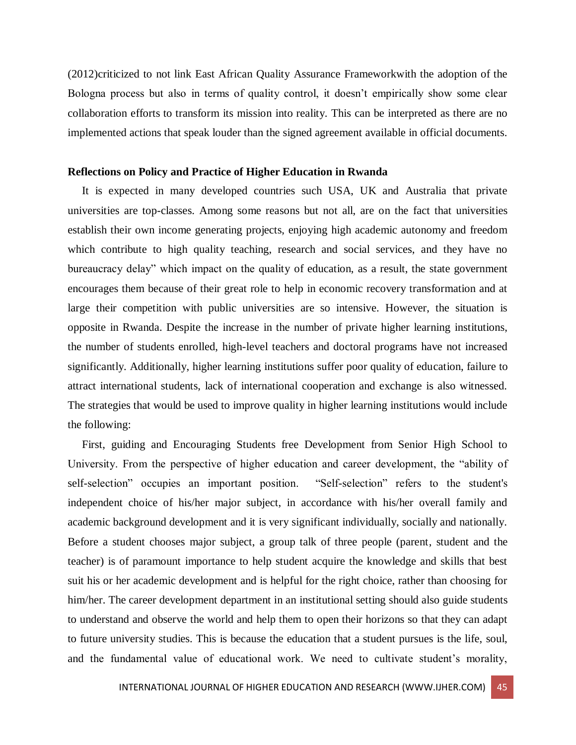(2012)criticized to not link East African Quality Assurance Frameworkwith the adoption of the Bologna process but also in terms of quality control, it doesn't empirically show some clear collaboration efforts to transform its mission into reality. This can be interpreted as there are no implemented actions that speak louder than the signed agreement available in official documents.

#### **Reflections on Policy and Practice of Higher Education in Rwanda**

 It is expected in many developed countries such USA, UK and Australia that private universities are top-classes. Among some reasons but not all, are on the fact that universities establish their own income generating projects, enjoying high academic autonomy and freedom which contribute to high quality teaching, research and social services, and they have no bureaucracy delay" which impact on the quality of education, as a result, the state government encourages them because of their great role to help in economic recovery transformation and at large their competition with public universities are so intensive. However, the situation is opposite in Rwanda. Despite the increase in the number of private higher learning institutions, the number of students enrolled, high-level teachers and doctoral programs have not increased significantly. Additionally, higher learning institutions suffer poor quality of education, failure to attract international students, lack of international cooperation and exchange is also witnessed. The strategies that would be used to improve quality in higher learning institutions would include the following:

 First, guiding and Encouraging Students free Development from Senior High School to University. From the perspective of higher education and career development, the "ability of self-selection" occupies an important position. "Self-selection" refers to the student's independent choice of his/her major subject, in accordance with his/her overall family and academic background development and it is very significant individually, socially and nationally. Before a student chooses major subject, a group talk of three people (parent, student and the teacher) is of paramount importance to help student acquire the knowledge and skills that best suit his or her academic development and is helpful for the right choice, rather than choosing for him/her. The career development department in an institutional setting should also guide students to understand and observe the world and help them to open their horizons so that they can adapt to future university studies. This is because the education that a student pursues is the life, soul, and the fundamental value of educational work. We need to cultivate student's morality,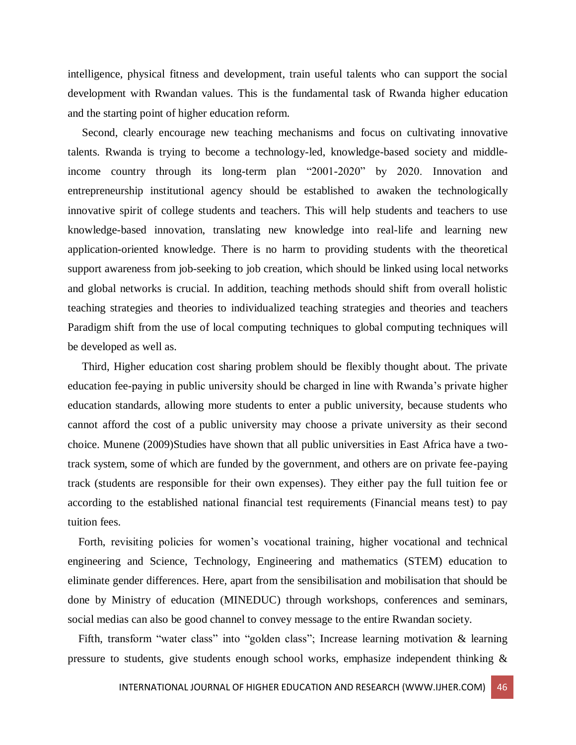intelligence, physical fitness and development, train useful talents who can support the social development with Rwandan values. This is the fundamental task of Rwanda higher education and the starting point of higher education reform.

 Second, clearly encourage new teaching mechanisms and focus on cultivating innovative talents. Rwanda is trying to become a technology-led, knowledge-based society and middleincome country through its long-term plan "2001-2020" by 2020. Innovation and entrepreneurship institutional agency should be established to awaken the technologically innovative spirit of college students and teachers. This will help students and teachers to use knowledge-based innovation, translating new knowledge into real-life and learning new application-oriented knowledge. There is no harm to providing students with the theoretical support awareness from job-seeking to job creation, which should be linked using local networks and global networks is crucial. In addition, teaching methods should shift from overall holistic teaching strategies and theories to individualized teaching strategies and theories and teachers Paradigm shift from the use of local computing techniques to global computing techniques will be developed as well as.

 Third, Higher education cost sharing problem should be flexibly thought about. The private education fee-paying in public university should be charged in line with Rwanda's private higher education standards, allowing more students to enter a public university, because students who cannot afford the cost of a public university may choose a private university as their second choice. Munene (2009)Studies have shown that all public universities in East Africa have a twotrack system, some of which are funded by the government, and others are on private fee-paying track (students are responsible for their own expenses). They either pay the full tuition fee or according to the established national financial test requirements (Financial means test) to pay tuition fees.

Forth, revisiting policies for women's vocational training, higher vocational and technical engineering and Science, Technology, Engineering and mathematics (STEM) education to eliminate gender differences. Here, apart from the sensibilisation and mobilisation that should be done by Ministry of education (MINEDUC) through workshops, conferences and seminars, social medias can also be good channel to convey message to the entire Rwandan society.

Fifth, transform "water class" into "golden class"; Increase learning motivation & learning pressure to students, give students enough school works, emphasize independent thinking &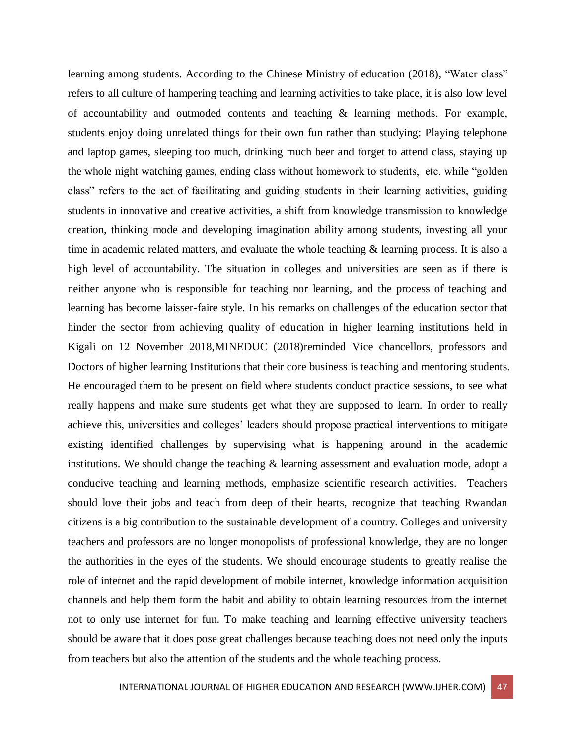learning among students. According to the Chinese Ministry of education (2018), "Water class" refers to all culture of hampering teaching and learning activities to take place, it is also low level of accountability and outmoded contents and teaching & learning methods. For example, students enjoy doing unrelated things for their own fun rather than studying: Playing telephone and laptop games, sleeping too much, drinking much beer and forget to attend class, staying up the whole night watching games, ending class without homework to students, etc. while "golden class" refers to the act of facilitating and guiding students in their learning activities, guiding students in innovative and creative activities, a shift from knowledge transmission to knowledge creation, thinking mode and developing imagination ability among students, investing all your time in academic related matters, and evaluate the whole teaching  $\&$  learning process. It is also a high level of accountability. The situation in colleges and universities are seen as if there is neither anyone who is responsible for teaching nor learning, and the process of teaching and learning has become laisser-faire style. In his remarks on challenges of the education sector that hinder the sector from achieving quality of education in higher learning institutions held in Kigali on 12 November 2018,MINEDUC (2018)reminded Vice chancellors, professors and Doctors of higher learning Institutions that their core business is teaching and mentoring students. He encouraged them to be present on field where students conduct practice sessions, to see what really happens and make sure students get what they are supposed to learn. In order to really achieve this, universities and colleges' leaders should propose practical interventions to mitigate existing identified challenges by supervising what is happening around in the academic institutions. We should change the teaching & learning assessment and evaluation mode, adopt a conducive teaching and learning methods, emphasize scientific research activities. Teachers should love their jobs and teach from deep of their hearts, recognize that teaching Rwandan citizens is a big contribution to the sustainable development of a country. Colleges and university teachers and professors are no longer monopolists of professional knowledge, they are no longer the authorities in the eyes of the students. We should encourage students to greatly realise the role of internet and the rapid development of mobile internet, knowledge information acquisition channels and help them form the habit and ability to obtain learning resources from the internet not to only use internet for fun. To make teaching and learning effective university teachers should be aware that it does pose great challenges because teaching does not need only the inputs from teachers but also the attention of the students and the whole teaching process.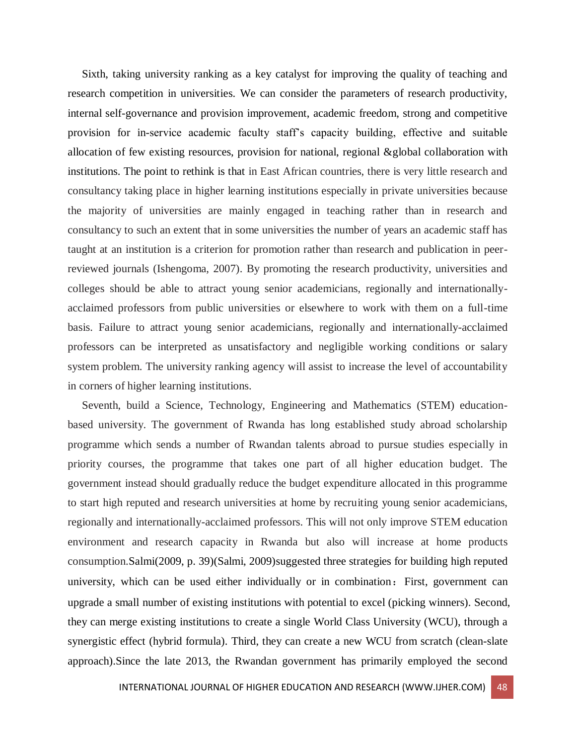Sixth, taking university ranking as a key catalyst for improving the quality of teaching and research competition in universities. We can consider the parameters of research productivity, internal self-governance and provision improvement, academic freedom, strong and competitive provision for in-service academic faculty staff's capacity building, effective and suitable allocation of few existing resources, provision for national, regional &global collaboration with institutions. The point to rethink is that in East African countries, there is very little research and consultancy taking place in higher learning institutions especially in private universities because the majority of universities are mainly engaged in teaching rather than in research and consultancy to such an extent that in some universities the number of years an academic staff has taught at an institution is a criterion for promotion rather than research and publication in peerreviewed journals (Ishengoma, 2007). By promoting the research productivity, universities and colleges should be able to attract young senior academicians, regionally and internationallyacclaimed professors from public universities or elsewhere to work with them on a full-time basis. Failure to attract young senior academicians, regionally and internationally-acclaimed professors can be interpreted as unsatisfactory and negligible working conditions or salary system problem. The university ranking agency will assist to increase the level of accountability in corners of higher learning institutions.

 Seventh, build a Science, Technology, Engineering and Mathematics (STEM) educationbased university. The government of Rwanda has long established study abroad scholarship programme which sends a number of Rwandan talents abroad to pursue studies especially in priority courses, the programme that takes one part of all higher education budget. The government instead should gradually reduce the budget expenditure allocated in this programme to start high reputed and research universities at home by recruiting young senior academicians, regionally and internationally-acclaimed professors. This will not only improve STEM education environment and research capacity in Rwanda but also will increase at home products consumption.Salmi(2009, p. 39)(Salmi, 2009)suggested three strategies for building high reputed university, which can be used either individually or in combination: First, government can upgrade a small number of existing institutions with potential to excel (picking winners). Second, they can merge existing institutions to create a single World Class University (WCU), through a synergistic effect (hybrid formula). Third, they can create a new WCU from scratch (clean-slate approach).Since the late 2013, the Rwandan government has primarily employed the second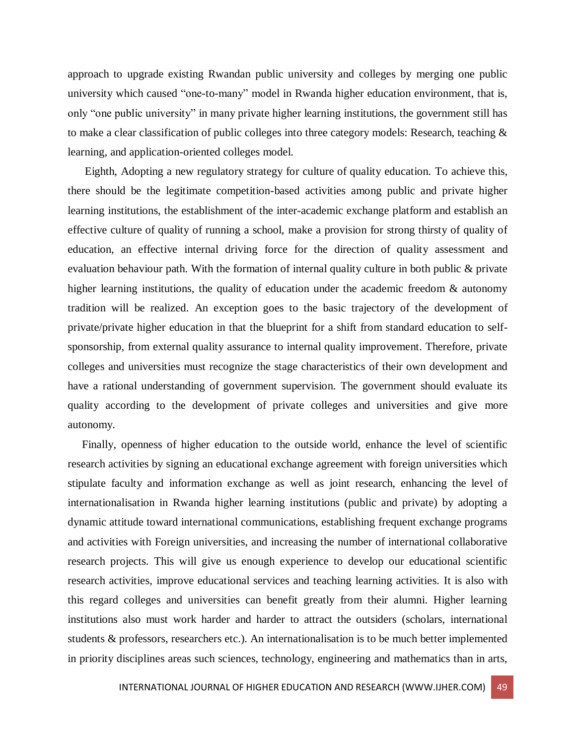approach to upgrade existing Rwandan public university and colleges by merging one public university which caused "one-to-many" model in Rwanda higher education environment, that is, only "one public university" in many private higher learning institutions, the government still has to make a clear classification of public colleges into three category models: Research, teaching & learning, and application-oriented colleges model.

 Eighth, Adopting a new regulatory strategy for culture of quality education. To achieve this, there should be the legitimate competition-based activities among public and private higher learning institutions, the establishment of the inter-academic exchange platform and establish an effective culture of quality of running a school, make a provision for strong thirsty of quality of education, an effective internal driving force for the direction of quality assessment and evaluation behaviour path. With the formation of internal quality culture in both public & private higher learning institutions, the quality of education under the academic freedom & autonomy tradition will be realized. An exception goes to the basic trajectory of the development of private/private higher education in that the blueprint for a shift from standard education to selfsponsorship, from external quality assurance to internal quality improvement. Therefore, private colleges and universities must recognize the stage characteristics of their own development and have a rational understanding of government supervision. The government should evaluate its quality according to the development of private colleges and universities and give more autonomy.

 Finally, openness of higher education to the outside world, enhance the level of scientific research activities by signing an educational exchange agreement with foreign universities which stipulate faculty and information exchange as well as joint research, enhancing the level of internationalisation in Rwanda higher learning institutions (public and private) by adopting a dynamic attitude toward international communications, establishing frequent exchange programs and activities with Foreign universities, and increasing the number of international collaborative research projects. This will give us enough experience to develop our educational scientific research activities, improve educational services and teaching learning activities. It is also with this regard colleges and universities can benefit greatly from their alumni. Higher learning institutions also must work harder and harder to attract the outsiders (scholars, international students & professors, researchers etc.). An internationalisation is to be much better implemented in priority disciplines areas such sciences, technology, engineering and mathematics than in arts,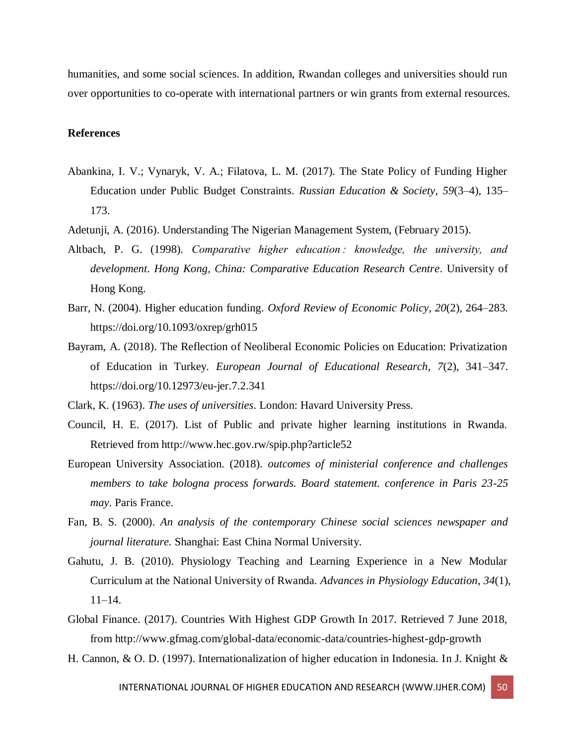humanities, and some social sciences. In addition, Rwandan colleges and universities should run over opportunities to co-operate with international partners or win grants from external resources.

#### **References**

- Abankina, I. V.; Vynaryk, V. A.; Filatova, L. M. (2017). The State Policy of Funding Higher Education under Public Budget Constraints. *Russian Education & Society*, *59*(3–4), 135– 173.
- Adetunji, A. (2016). Understanding The Nigerian Management System, (February 2015).
- Altbach, P. G. (1998). *Comparative higher education : knowledge, the university, and development*. *Hong Kong, China: Comparative Education Research Centre*. University of Hong Kong.
- Barr, N. (2004). Higher education funding. *Oxford Review of Economic Policy*, *20*(2), 264–283. https://doi.org/10.1093/oxrep/grh015
- Bayram, A. (2018). The Reflection of Neoliberal Economic Policies on Education: Privatization of Education in Turkey. *European Journal of Educational Research*, *7*(2), 341–347. https://doi.org/10.12973/eu-jer.7.2.341
- Clark, K. (1963). *The uses of universities*. London: Havard University Press.
- Council, H. E. (2017). List of Public and private higher learning institutions in Rwanda. Retrieved from http://www.hec.gov.rw/spip.php?article52
- European University Association. (2018). *outcomes of ministerial conference and challenges members to take bologna process forwards. Board statement. conference in Paris 23-25 may*. Paris France.
- Fan, B. S. (2000). *An analysis of the contemporary Chinese social sciences newspaper and journal literature.* Shanghai: East China Normal University.
- Gahutu, J. B. (2010). Physiology Teaching and Learning Experience in a New Modular Curriculum at the National University of Rwanda. *Advances in Physiology Education*, *34*(1), 11–14.
- Global Finance. (2017). Countries With Highest GDP Growth In 2017. Retrieved 7 June 2018, from http://www.gfmag.com/global-data/economic-data/countries-highest-gdp-growth
- H. Cannon, & O. D. (1997). Internationalization of higher education in Indonesia. In J. Knight &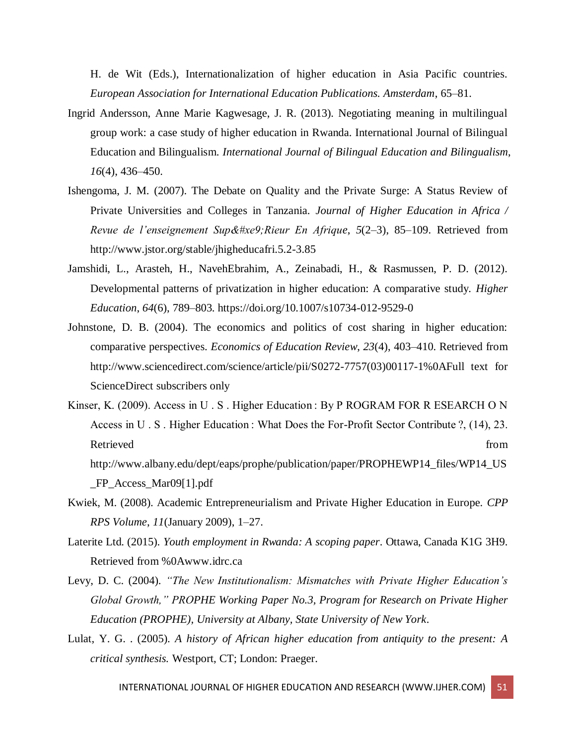H. de Wit (Eds.), Internationalization of higher education in Asia Pacific countries. *European Association for International Education Publications. Amsterdam*, 65–81.

- Ingrid Andersson, Anne Marie Kagwesage, J. R. (2013). Negotiating meaning in multilingual group work: a case study of higher education in Rwanda. International Journal of Bilingual Education and Bilingualism. *International Journal of Bilingual Education and Bilingualism*, *16*(4), 436–450.
- Ishengoma, J. M. (2007). The Debate on Quality and the Private Surge: A Status Review of Private Universities and Colleges in Tanzania. *Journal of Higher Education in Africa / Revue de l'enseignement Supé Rieur En Afrique, 5(2–3), 85–109. Retrieved from* http://www.jstor.org/stable/jhigheducafri.5.2-3.85
- Jamshidi, L., Arasteh, H., NavehEbrahim, A., Zeinabadi, H., & Rasmussen, P. D. (2012). Developmental patterns of privatization in higher education: A comparative study. *Higher Education*, *64*(6), 789–803. https://doi.org/10.1007/s10734-012-9529-0
- Johnstone, D. B. (2004). The economics and politics of cost sharing in higher education: comparative perspectives. *Economics of Education Review*, *23*(4), 403–410. Retrieved from http://www.sciencedirect.com/science/article/pii/S0272-7757(03)00117-1%0AFull text for ScienceDirect subscribers only
- Kinser, K. (2009). Access in U.S. Higher Education: By P ROGRAM FOR R ESEARCH O N Access in U . S . Higher Education : What Does the For-Profit Sector Contribute ?, (14), 23. Retrieved from the state of the state of the state of the state of the state of the state of the state of the state of the state of the state of the state of the state of the state of the state of the state of the state of http://www.albany.edu/dept/eaps/prophe/publication/paper/PROPHEWP14\_files/WP14\_US \_FP\_Access\_Mar09[1].pdf
- Kwiek, M. (2008). Academic Entrepreneurialism and Private Higher Education in Europe. *CPP RPS Volume*, *11*(January 2009), 1–27.
- Laterite Ltd. (2015). *Youth employment in Rwanda: A scoping paper*. Ottawa, Canada K1G 3H9. Retrieved from %0Awww.idrc.ca
- Levy, D. C. (2004). *"The New Institutionalism: Mismatches with Private Higher Education's Global Growth," PROPHE Working Paper No.3, Program for Research on Private Higher Education (PROPHE), University at Albany, State University of New York*.
- Lulat, Y. G. . (2005). *A history of African higher education from antiquity to the present: A critical synthesis.* Westport, CT; London: Praeger.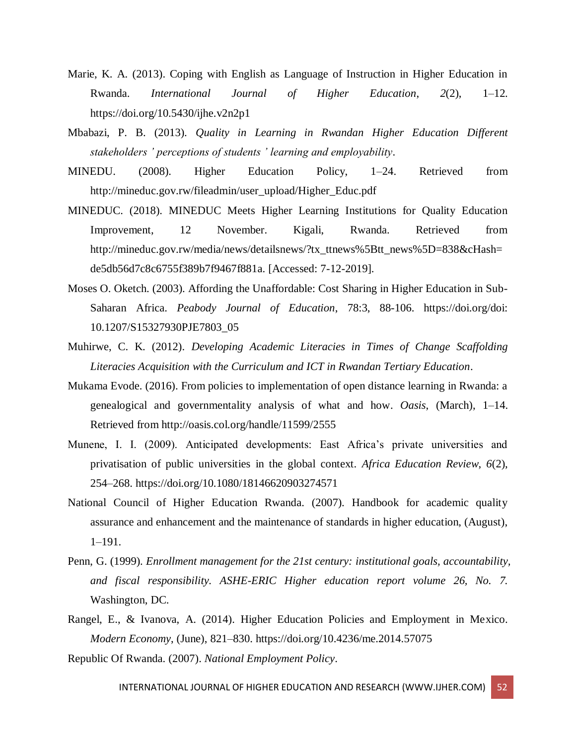- Marie, K. A. (2013). Coping with English as Language of Instruction in Higher Education in Rwanda. *International Journal of Higher Education*, *2*(2), 1–12. https://doi.org/10.5430/ijhe.v2n2p1
- Mbabazi, P. B. (2013). *Quality in Learning in Rwandan Higher Education Different stakeholders ' perceptions of students ' learning and employability*.
- MINEDU. (2008). Higher Education Policy, 1–24. Retrieved from http://mineduc.gov.rw/fileadmin/user\_upload/Higher\_Educ.pdf
- MINEDUC. (2018). MINEDUC Meets Higher Learning Institutions for Quality Education Improvement, 12 November. Kigali, Rwanda. Retrieved from http://mineduc.gov.rw/media/news/detailsnews/?tx\_ttnews%5Btt\_news%5D=838&cHash= de5db56d7c8c6755f389b7f9467f881a. [Accessed: 7-12-2019].
- Moses O. Oketch. (2003). Affording the Unaffordable: Cost Sharing in Higher Education in Sub-Saharan Africa. *Peabody Journal of Education*, 78:3, 88-106. https://doi.org/doi: 10.1207/S15327930PJE7803\_05
- Muhirwe, C. K. (2012). *Developing Academic Literacies in Times of Change Scaffolding Literacies Acquisition with the Curriculum and ICT in Rwandan Tertiary Education*.
- Mukama Evode. (2016). From policies to implementation of open distance learning in Rwanda: a genealogical and governmentality analysis of what and how. *Oasis*, (March), 1–14. Retrieved from http://oasis.col.org/handle/11599/2555
- Munene, I. I. (2009). Anticipated developments: East Africa's private universities and privatisation of public universities in the global context. *Africa Education Review*, *6*(2), 254–268. https://doi.org/10.1080/18146620903274571
- National Council of Higher Education Rwanda. (2007). Handbook for academic quality assurance and enhancement and the maintenance of standards in higher education, (August), 1–191.
- Penn, G. (1999). *Enrollment management for the 21st century: institutional goals, accountability, and fiscal responsibility. ASHE-ERIC Higher education report volume 26, No. 7.* Washington, DC.
- Rangel, E., & Ivanova, A. (2014). Higher Education Policies and Employment in Mexico. *Modern Economy*, (June), 821–830. https://doi.org/10.4236/me.2014.57075

Republic Of Rwanda. (2007). *National Employment Policy*.